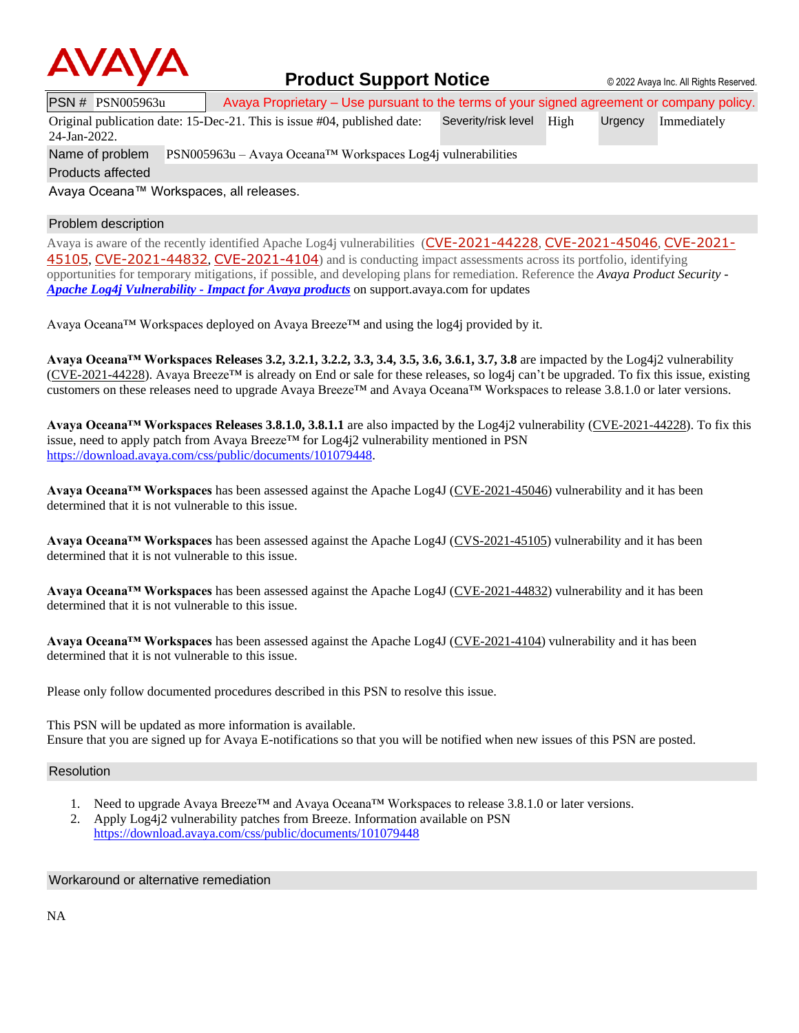

### **Product Support Notice**  $\circ$  2022 Avaya Inc. All Rights Reserved.

PSN # PSN005963u Avaya Proprietary – Use pursuant to the terms of your signed agreement or company policy.

Original publication date: 15-Dec-21. This is issue #04, published date: Severity/risk level High Urgency Immediately

Name of problem PSN005963u – Avaya Oceana™ Workspaces Log4j vulnerabilities

24-Jan-2022.

Products affected

Avaya Oceana™ Workspaces, all releases.

### Problem description

Avaya is aware of the recently identified Apache Log4j vulnerabilities ([CVE-2021-44228](https://cve.mitre.org/cgi-bin/cvename.cgi?name=CVE-2021-44228), [CVE-2021-45046](https://cve.mitre.org/cgi-bin/cvename.cgi?name=CVE-2021-45046), [CVE-2021-](https://cve.mitre.org/cgi-bin/cvename.cgi?name=CVE-2021-45105) [45105](https://cve.mitre.org/cgi-bin/cvename.cgi?name=CVE-2021-45105), [CVE-2021-44832](https://cve.mitre.org/cgi-bin/cvename.cgi?name=CVE-2021-44832), [CVE-2021-4104](https://cve.mitre.org/cgi-bin/cvename.cgi?name=CVE-2021-4104)) and is conducting impact assessments across its portfolio, identifying opportunities for temporary mitigations, if possible, and developing plans for remediation. Reference the *Avaya Product Security - Apache Log4j Vulnerability - [Impact for Avaya products](http://www.avaya.com/emergencyupdate)* on support.avaya.com for updates

Avaya Oceana™ Workspaces deployed on Avaya Breeze™ and using the log4j provided by it.

**Avaya Oceana™ Workspaces Releases 3.2, 3.2.1, 3.2.2, 3.3, 3.4, 3.5, 3.6, 3.6.1, 3.7, 3.8** are impacted by the Log4j2 vulnerability [\(CVE-2021-44228\)](https://cve.mitre.org/cgi-bin/cvename.cgi?name=CVE-2021-44228). Avaya Breeze<sup>TM</sup> is already on End or sale for these releases, so log4j can't be upgraded. To fix this issue, existing customers on these releases need to upgrade Avaya Breeze™ and Avaya Oceana™ Workspaces to release 3.8.1.0 or later versions.

**Avaya Oceana™ Workspaces Releases 3.8.1.0, 3.8.1.1** are also impacted by the Log4j2 vulnerability [\(CVE-2021-44228\)](https://cve.mitre.org/cgi-bin/cvename.cgi?name=CVE-2021-44228). To fix this issue, need to apply patch from Avaya Breeze<sup>TM</sup> for Log4 $i$ 2 vulnerability mentioned in PSN [https://download.avaya.com/css/public/documents/101079448.](https://download.avaya.com/css/public/documents/101079448)

**Avaya Oceana™ Workspaces** has been assessed against the Apache Log4J [\(CVE-2021-45046\)](https://cve.mitre.org/cgi-bin/cvename.cgi?name=CVE-2021-45046) vulnerability and it has been determined that it is not vulnerable to this issue.

**Avaya Oceana™ Workspaces** has been assessed against the Apache Log4J [\(CVS-2021-45105\)](https://cve.mitre.org/cgi-bin/cvename.cgi?name=CVE-2021-45105) vulnerability and it has been determined that it is not vulnerable to this issue.

**Avaya Oceana™ Workspaces** has been assessed against the Apache Log4J [\(CVE-2021-44832\)](https://cve.mitre.org/cgi-bin/cvename.cgi?name=CVE-2021-44832) vulnerability and it has been determined that it is not vulnerable to this issue.

**Avaya Oceana™ Workspaces** has been assessed against the Apache Log4J [\(CVE-2021-4104\)](https://cve.mitre.org/cgi-bin/cvename.cgi?name=CVE-2021-4104) vulnerability and it has been determined that it is not vulnerable to this issue.

Please only follow documented procedures described in this PSN to resolve this issue.

This PSN will be updated as more information is available. Ensure that you are signed up for Avaya E-notifications so that you will be notified when new issues of this PSN are posted.

#### Resolution

- 1. Need to upgrade Avaya Breeze™ and Avaya Oceana™ Workspaces to release 3.8.1.0 or later versions.
- 2. Apply Log4j2 vulnerability patches from Breeze. Information available on PSN <https://download.avaya.com/css/public/documents/101079448>

#### Workaround or alternative remediation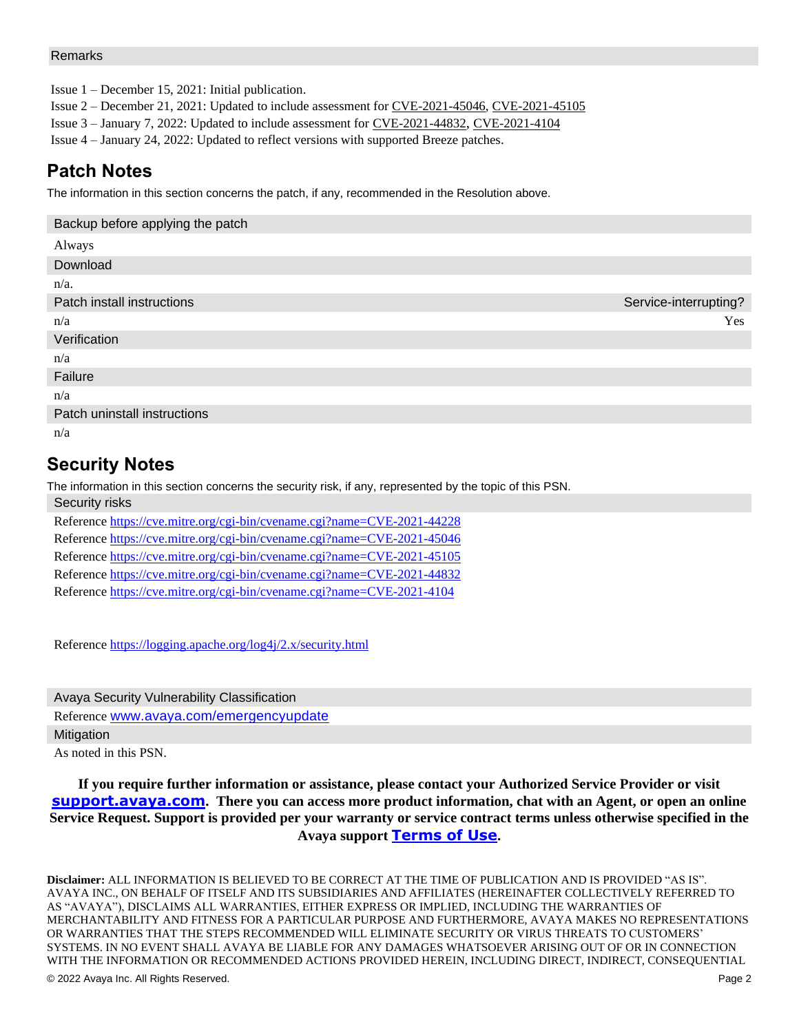#### Remarks

Issue 1 – December 15, 2021: Initial publication.

Issue 2 – December 21, 2021: Updated to include assessment fo[r CVE-2021-45046,](https://cve.mitre.org/cgi-bin/cvename.cgi?name=CVE-2021-45046) CVE-2021-45105

Issue 3 – January 7, 2022: Updated to include assessment for [CVE-2021-44832](https://cve.mitre.org/cgi-bin/cvename.cgi?name=CVE-2021-44832), [CVE-2021-4104](https://cve.mitre.org/cgi-bin/cvename.cgi?name=CVE-2021-4104)

Issue 4 – January 24, 2022: Updated to reflect versions with supported Breeze patches.

# **Patch Notes**

The information in this section concerns the patch, if any, recommended in the Resolution above.

| Backup before applying the patch |                       |
|----------------------------------|-----------------------|
| Always                           |                       |
| Download                         |                       |
| $n/a$ .                          |                       |
| Patch install instructions       | Service-interrupting? |
| n/a                              | Yes                   |
| Verification                     |                       |
| n/a                              |                       |
| Failure                          |                       |
| n/a                              |                       |
| Patch uninstall instructions     |                       |
| n/a                              |                       |

## **Security Notes**

The information in this section concerns the security risk, if any, represented by the topic of this PSN. Security risks

| Reference https://cve.mitre.org/cgi-bin/cvename.cgi?name=CVE-2021-44228 |
|-------------------------------------------------------------------------|
| Reference https://cve.mitre.org/cgi-bin/cvename.cgi?name=CVE-2021-45046 |
| Reference https://cve.mitre.org/cgi-bin/cvename.cgi?name=CVE-2021-45105 |
| Reference https://cve.mitre.org/cgi-bin/cvename.cgi?name=CVE-2021-44832 |
| Reference https://cve.mitre.org/cgi-bin/cvename.cgi?name=CVE-2021-4104  |

Reference<https://logging.apache.org/log4j/2.x/security.html>

Avaya Security Vulnerability Classification Reference [www.avaya.com/emergencyupdate](http://www.avaya.com/emergencyupdate) **Mitigation** As noted in this PSN.

**If you require further information or assistance, please contact your Authorized Service Provider or visit [support.avaya.com](http://support.avaya.com/). There you can access more product information, chat with an Agent, or open an online Service Request. Support is provided per your warranty or service contract terms unless otherwise specified in the Avaya support [Terms of Use](http://www.avaya.com/gcm/master-usa/en-us/includedcontent/termsofuse.htm).**

**Disclaimer:** ALL INFORMATION IS BELIEVED TO BE CORRECT AT THE TIME OF PUBLICATION AND IS PROVIDED "AS IS". AVAYA INC., ON BEHALF OF ITSELF AND ITS SUBSIDIARIES AND AFFILIATES (HEREINAFTER COLLECTIVELY REFERRED TO AS "AVAYA"), DISCLAIMS ALL WARRANTIES, EITHER EXPRESS OR IMPLIED, INCLUDING THE WARRANTIES OF MERCHANTABILITY AND FITNESS FOR A PARTICULAR PURPOSE AND FURTHERMORE, AVAYA MAKES NO REPRESENTATIONS OR WARRANTIES THAT THE STEPS RECOMMENDED WILL ELIMINATE SECURITY OR VIRUS THREATS TO CUSTOMERS' SYSTEMS. IN NO EVENT SHALL AVAYA BE LIABLE FOR ANY DAMAGES WHATSOEVER ARISING OUT OF OR IN CONNECTION WITH THE INFORMATION OR RECOMMENDED ACTIONS PROVIDED HEREIN, INCLUDING DIRECT, INDIRECT, CONSEQUENTIAL